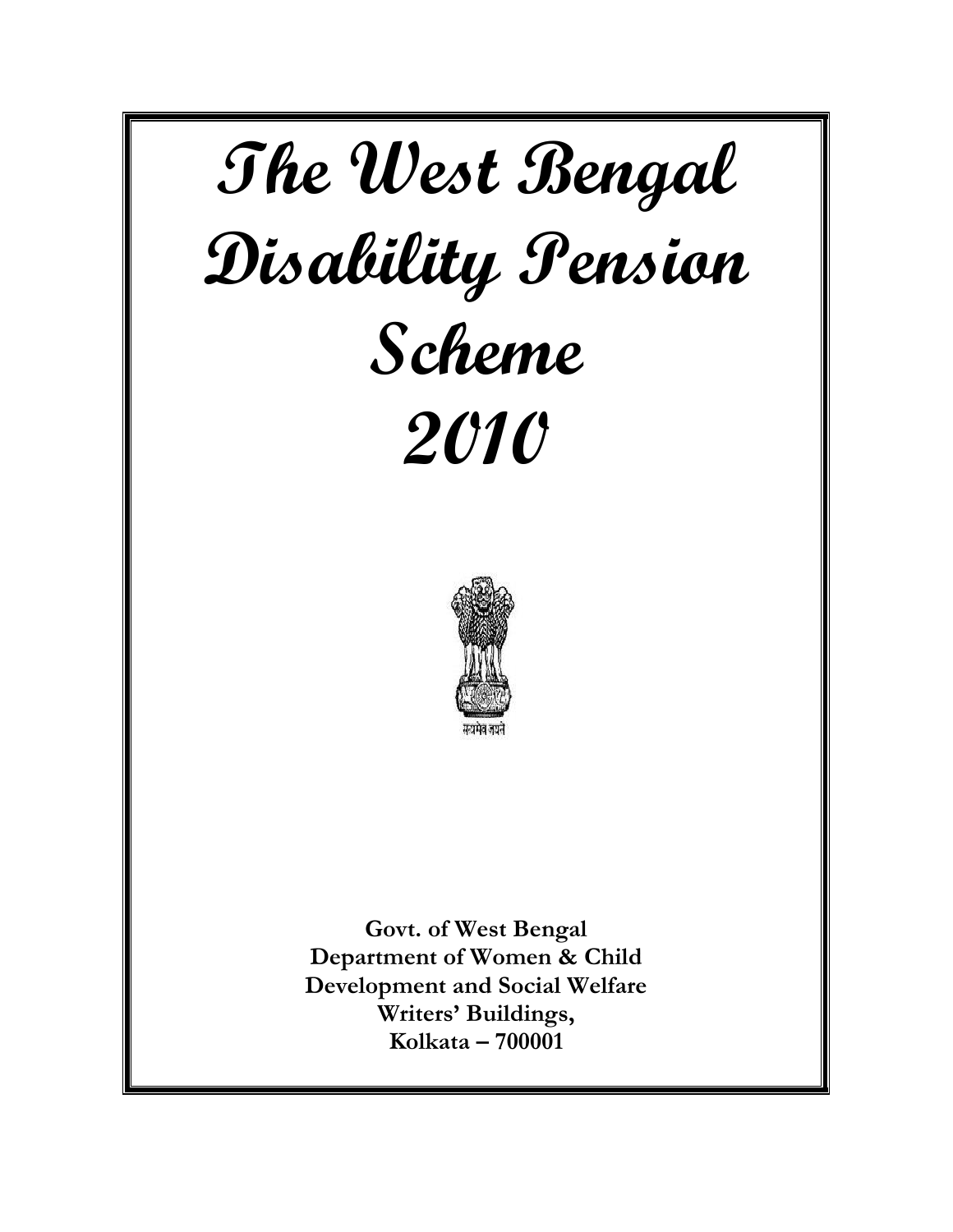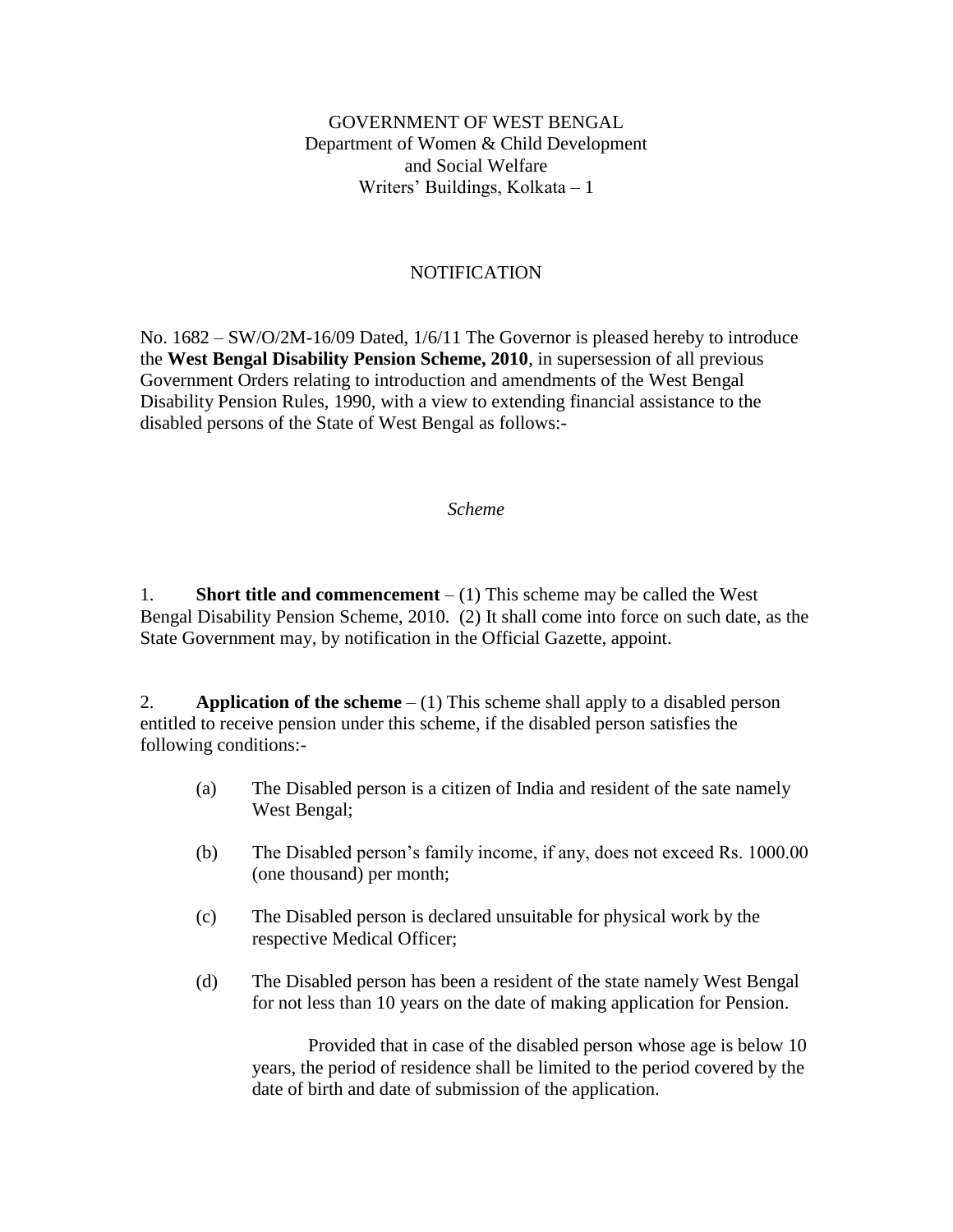# GOVERNMENT OF WEST BENGAL Department of Women & Child Development and Social Welfare Writers' Buildings, Kolkata – 1

# NOTIFICATION

No. 1682 – SW/O/2M-16/09 Dated, 1/6/11 The Governor is pleased hereby to introduce the **West Bengal Disability Pension Scheme, 2010**, in supersession of all previous Government Orders relating to introduction and amendments of the West Bengal Disability Pension Rules, 1990, with a view to extending financial assistance to the disabled persons of the State of West Bengal as follows:-

#### *Scheme*

1. **Short title and commencement** – (1) This scheme may be called the West Bengal Disability Pension Scheme, 2010. (2) It shall come into force on such date, as the State Government may, by notification in the Official Gazette, appoint.

2. **Application of the scheme** – (1) This scheme shall apply to a disabled person entitled to receive pension under this scheme, if the disabled person satisfies the following conditions:-

- (a) The Disabled person is a citizen of India and resident of the sate namely West Bengal;
- (b) The Disabled person's family income, if any, does not exceed Rs. 1000.00 (one thousand) per month;
- (c) The Disabled person is declared unsuitable for physical work by the respective Medical Officer;
- (d) The Disabled person has been a resident of the state namely West Bengal for not less than 10 years on the date of making application for Pension.

Provided that in case of the disabled person whose age is below 10 years, the period of residence shall be limited to the period covered by the date of birth and date of submission of the application.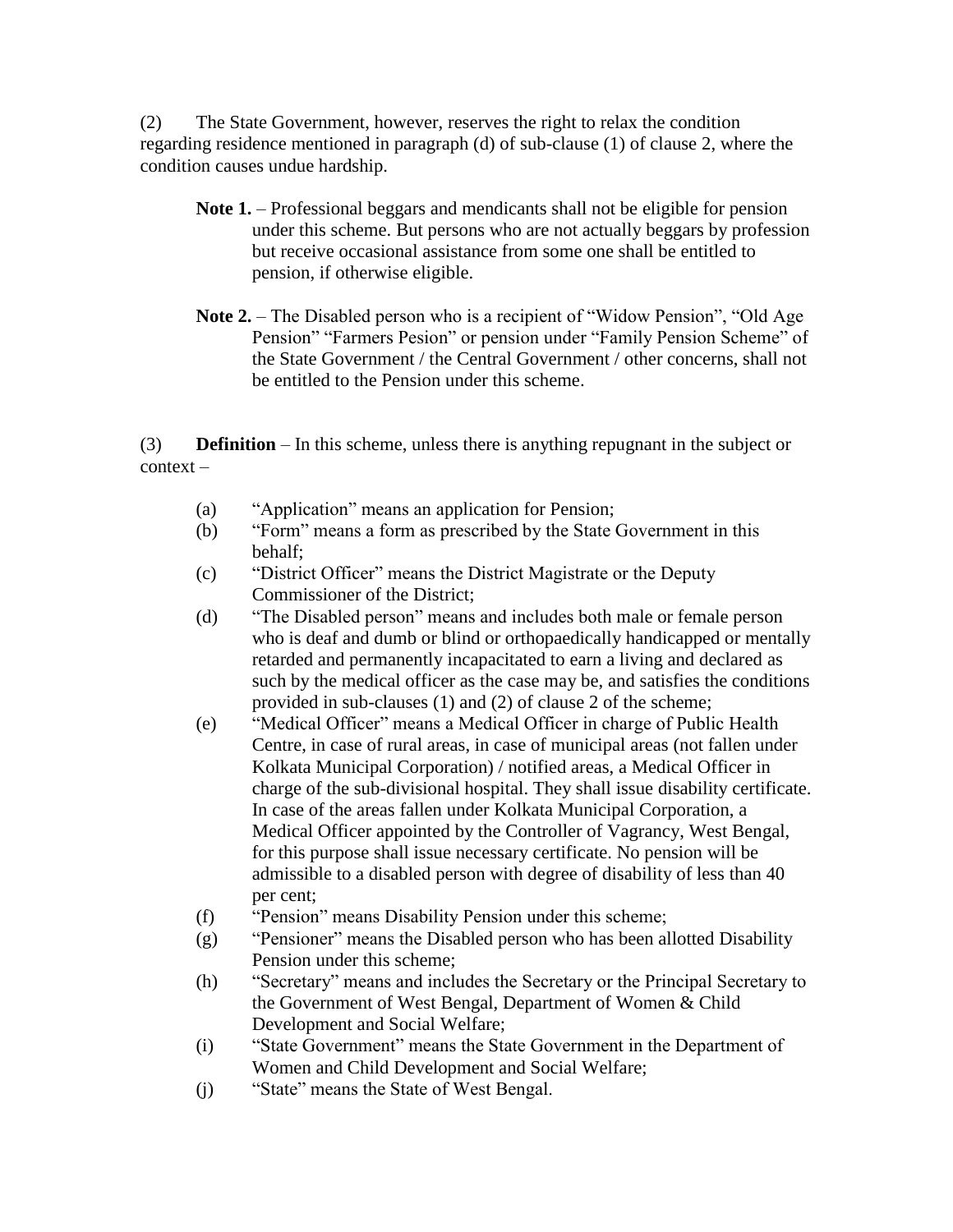(2) The State Government, however, reserves the right to relax the condition regarding residence mentioned in paragraph (d) of sub-clause (1) of clause 2, where the condition causes undue hardship.

- **Note 1.** Professional beggars and mendicants shall not be eligible for pension under this scheme. But persons who are not actually beggars by profession but receive occasional assistance from some one shall be entitled to pension, if otherwise eligible.
- **Note 2.** The Disabled person who is a recipient of "Widow Pension", "Old Age Pension" "Farmers Pesion" or pension under "Family Pension Scheme" of the State Government / the Central Government / other concerns, shall not be entitled to the Pension under this scheme.

(3) **Definition** – In this scheme, unless there is anything repugnant in the subject or context –

- (a) "Application" means an application for Pension;
- (b) "Form" means a form as prescribed by the State Government in this behalf;
- (c) "District Officer" means the District Magistrate or the Deputy Commissioner of the District;
- (d) "The Disabled person" means and includes both male or female person who is deaf and dumb or blind or orthopaedically handicapped or mentally retarded and permanently incapacitated to earn a living and declared as such by the medical officer as the case may be, and satisfies the conditions provided in sub-clauses (1) and (2) of clause 2 of the scheme;
- (e) "Medical Officer" means a Medical Officer in charge of Public Health Centre, in case of rural areas, in case of municipal areas (not fallen under Kolkata Municipal Corporation) / notified areas, a Medical Officer in charge of the sub-divisional hospital. They shall issue disability certificate. In case of the areas fallen under Kolkata Municipal Corporation, a Medical Officer appointed by the Controller of Vagrancy, West Bengal, for this purpose shall issue necessary certificate. No pension will be admissible to a disabled person with degree of disability of less than 40 per cent;
- (f) "Pension" means Disability Pension under this scheme;
- (g) "Pensioner" means the Disabled person who has been allotted Disability Pension under this scheme;
- (h) "Secretary" means and includes the Secretary or the Principal Secretary to the Government of West Bengal, Department of Women & Child Development and Social Welfare;
- (i) "State Government" means the State Government in the Department of Women and Child Development and Social Welfare;
- (j) "State" means the State of West Bengal.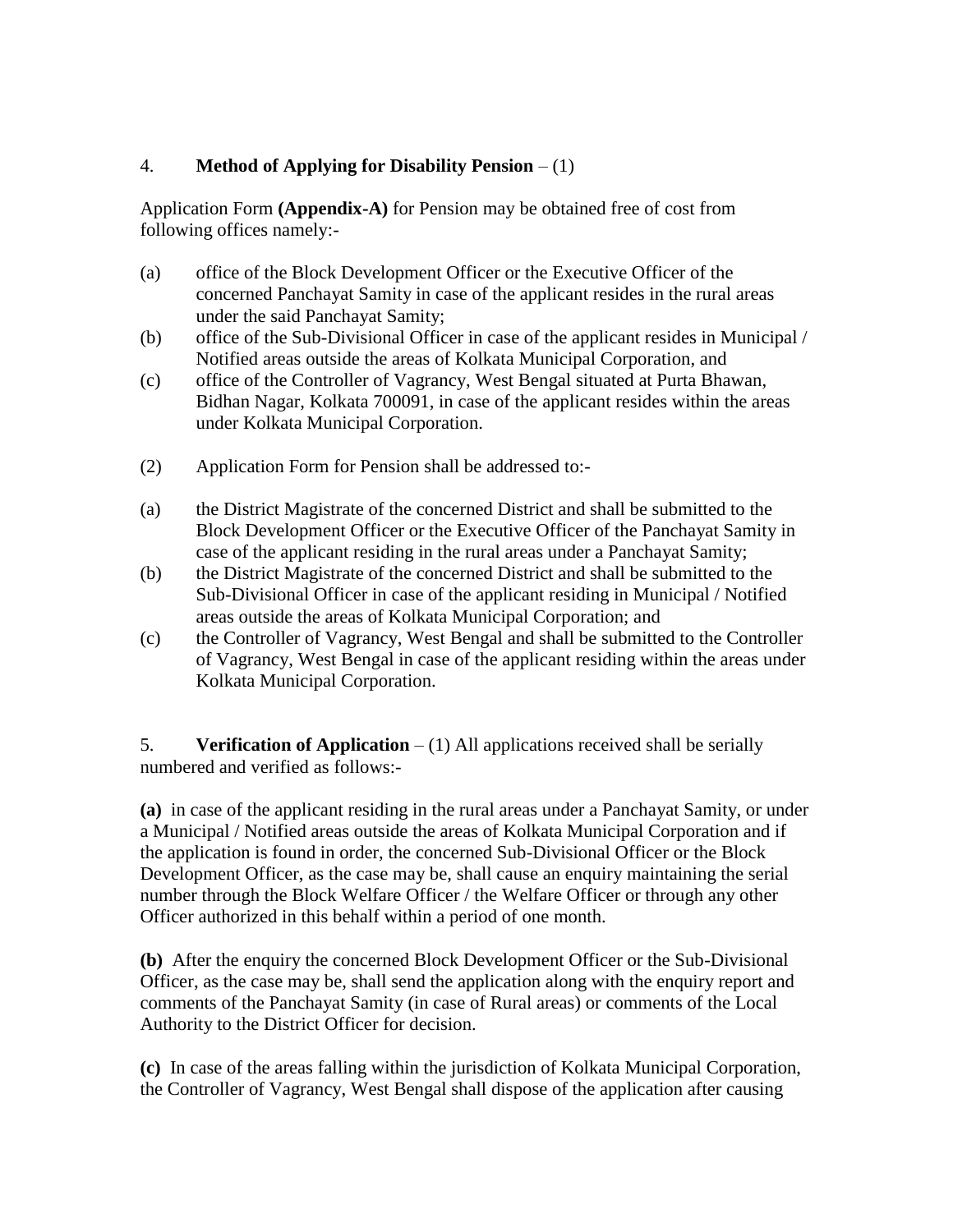# 4. **Method of Applying for Disability Pension** – (1)

Application Form **(Appendix-A)** for Pension may be obtained free of cost from following offices namely:-

- (a) office of the Block Development Officer or the Executive Officer of the concerned Panchayat Samity in case of the applicant resides in the rural areas under the said Panchayat Samity;
- (b) office of the Sub-Divisional Officer in case of the applicant resides in Municipal / Notified areas outside the areas of Kolkata Municipal Corporation, and
- (c) office of the Controller of Vagrancy, West Bengal situated at Purta Bhawan, Bidhan Nagar, Kolkata 700091, in case of the applicant resides within the areas under Kolkata Municipal Corporation.
- (2) Application Form for Pension shall be addressed to:-
- (a) the District Magistrate of the concerned District and shall be submitted to the Block Development Officer or the Executive Officer of the Panchayat Samity in case of the applicant residing in the rural areas under a Panchayat Samity;
- (b) the District Magistrate of the concerned District and shall be submitted to the Sub-Divisional Officer in case of the applicant residing in Municipal / Notified areas outside the areas of Kolkata Municipal Corporation; and
- (c) the Controller of Vagrancy, West Bengal and shall be submitted to the Controller of Vagrancy, West Bengal in case of the applicant residing within the areas under Kolkata Municipal Corporation.

5. **Verification of Application** – (1) All applications received shall be serially numbered and verified as follows:-

**(a)** in case of the applicant residing in the rural areas under a Panchayat Samity, or under a Municipal / Notified areas outside the areas of Kolkata Municipal Corporation and if the application is found in order, the concerned Sub-Divisional Officer or the Block Development Officer, as the case may be, shall cause an enquiry maintaining the serial number through the Block Welfare Officer / the Welfare Officer or through any other Officer authorized in this behalf within a period of one month.

**(b)** After the enquiry the concerned Block Development Officer or the Sub-Divisional Officer, as the case may be, shall send the application along with the enquiry report and comments of the Panchayat Samity (in case of Rural areas) or comments of the Local Authority to the District Officer for decision.

**(c)** In case of the areas falling within the jurisdiction of Kolkata Municipal Corporation, the Controller of Vagrancy, West Bengal shall dispose of the application after causing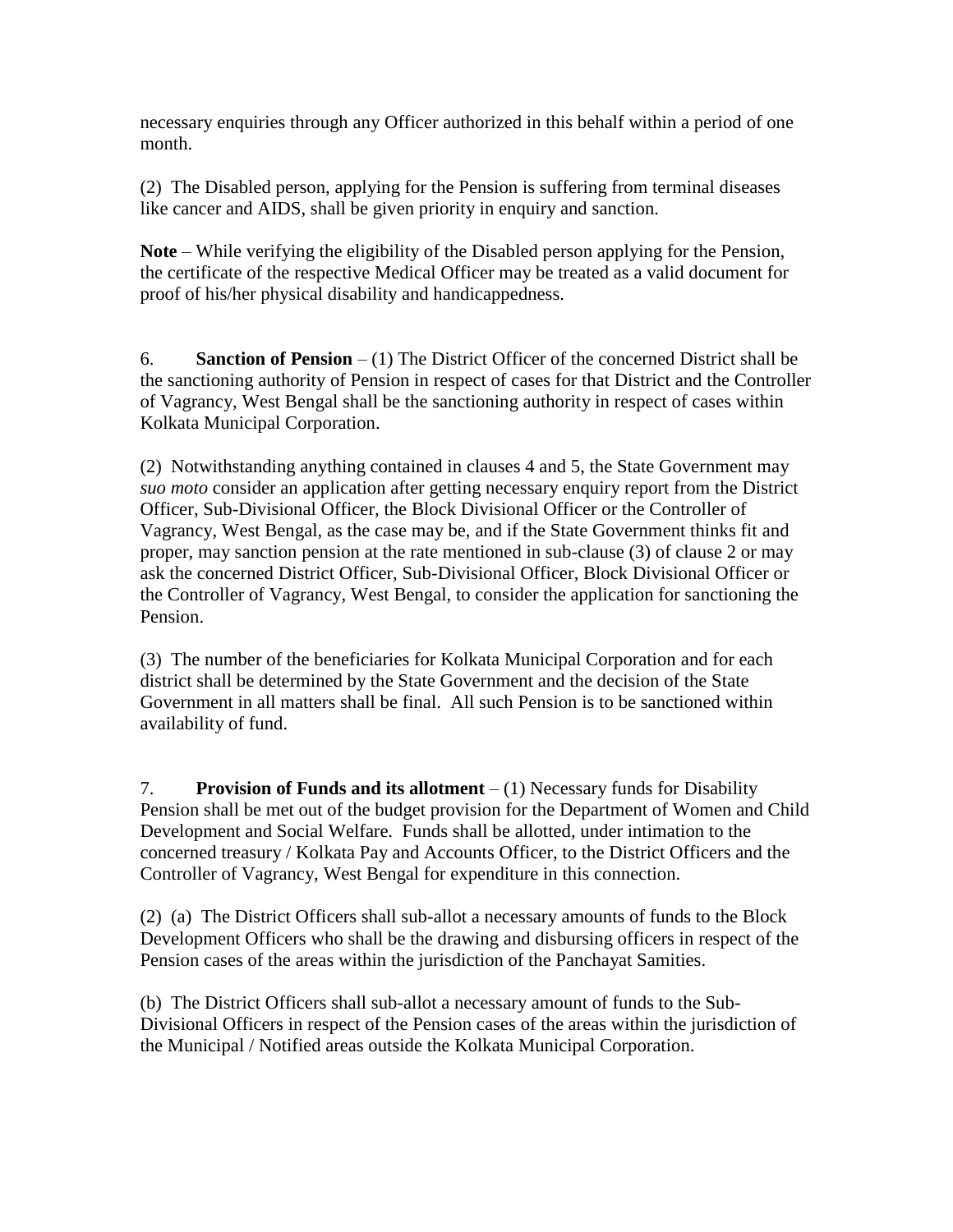necessary enquiries through any Officer authorized in this behalf within a period of one month.

(2) The Disabled person, applying for the Pension is suffering from terminal diseases like cancer and AIDS, shall be given priority in enquiry and sanction.

**Note** – While verifying the eligibility of the Disabled person applying for the Pension, the certificate of the respective Medical Officer may be treated as a valid document for proof of his/her physical disability and handicappedness.

6. **Sanction of Pension** – (1) The District Officer of the concerned District shall be the sanctioning authority of Pension in respect of cases for that District and the Controller of Vagrancy, West Bengal shall be the sanctioning authority in respect of cases within Kolkata Municipal Corporation.

(2) Notwithstanding anything contained in clauses 4 and 5, the State Government may *suo moto* consider an application after getting necessary enquiry report from the District Officer, Sub-Divisional Officer, the Block Divisional Officer or the Controller of Vagrancy, West Bengal, as the case may be, and if the State Government thinks fit and proper, may sanction pension at the rate mentioned in sub-clause (3) of clause 2 or may ask the concerned District Officer, Sub-Divisional Officer, Block Divisional Officer or the Controller of Vagrancy, West Bengal, to consider the application for sanctioning the Pension.

(3) The number of the beneficiaries for Kolkata Municipal Corporation and for each district shall be determined by the State Government and the decision of the State Government in all matters shall be final. All such Pension is to be sanctioned within availability of fund.

7. **Provision of Funds and its allotment** – (1) Necessary funds for Disability Pension shall be met out of the budget provision for the Department of Women and Child Development and Social Welfare. Funds shall be allotted, under intimation to the concerned treasury / Kolkata Pay and Accounts Officer, to the District Officers and the Controller of Vagrancy, West Bengal for expenditure in this connection.

(2) (a) The District Officers shall sub-allot a necessary amounts of funds to the Block Development Officers who shall be the drawing and disbursing officers in respect of the Pension cases of the areas within the jurisdiction of the Panchayat Samities.

(b) The District Officers shall sub-allot a necessary amount of funds to the Sub-Divisional Officers in respect of the Pension cases of the areas within the jurisdiction of the Municipal / Notified areas outside the Kolkata Municipal Corporation.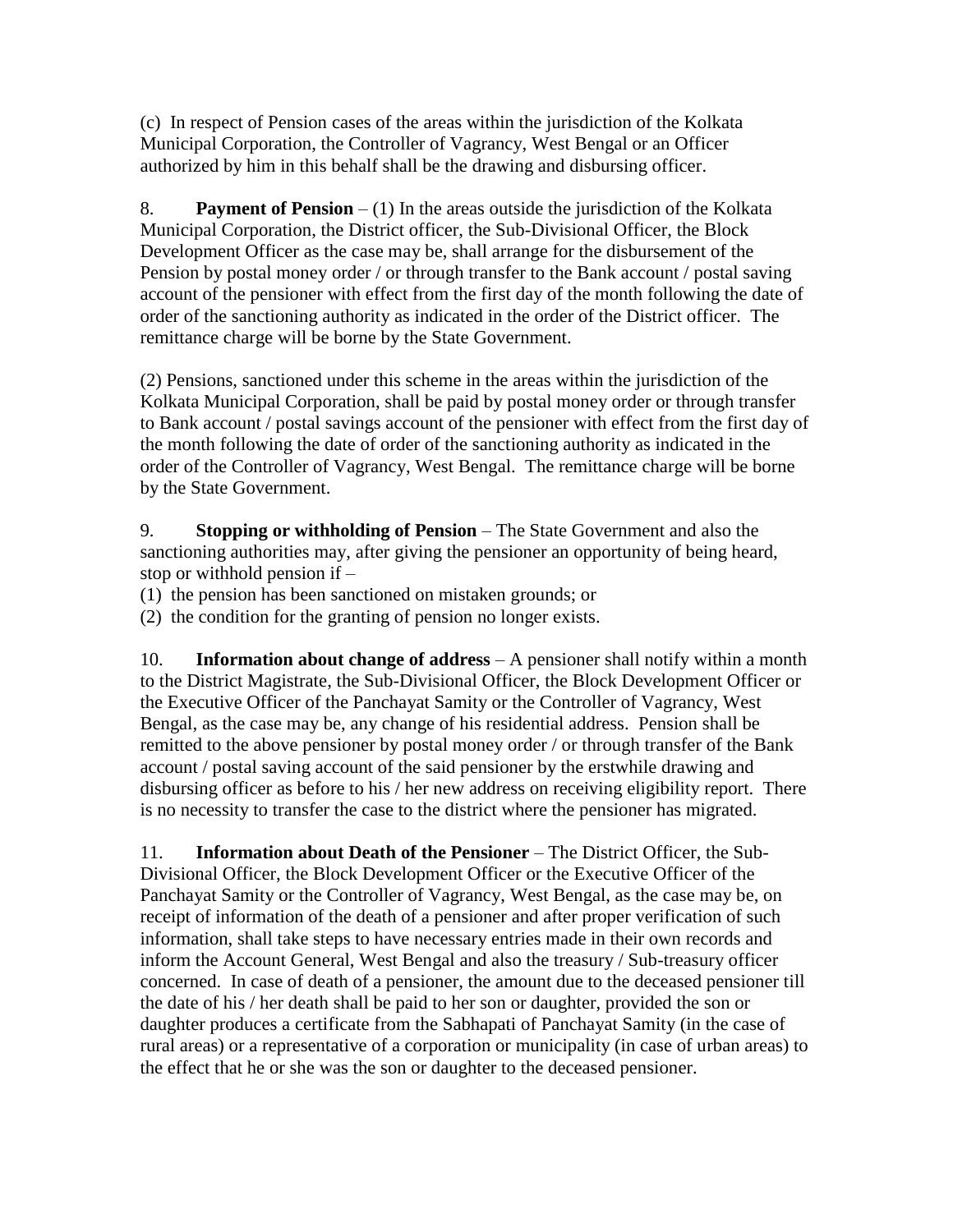(c) In respect of Pension cases of the areas within the jurisdiction of the Kolkata Municipal Corporation, the Controller of Vagrancy, West Bengal or an Officer authorized by him in this behalf shall be the drawing and disbursing officer.

8. **Payment of Pension** – (1) In the areas outside the jurisdiction of the Kolkata Municipal Corporation, the District officer, the Sub-Divisional Officer, the Block Development Officer as the case may be, shall arrange for the disbursement of the Pension by postal money order / or through transfer to the Bank account / postal saving account of the pensioner with effect from the first day of the month following the date of order of the sanctioning authority as indicated in the order of the District officer. The remittance charge will be borne by the State Government.

(2) Pensions, sanctioned under this scheme in the areas within the jurisdiction of the Kolkata Municipal Corporation, shall be paid by postal money order or through transfer to Bank account / postal savings account of the pensioner with effect from the first day of the month following the date of order of the sanctioning authority as indicated in the order of the Controller of Vagrancy, West Bengal. The remittance charge will be borne by the State Government.

9. **Stopping or withholding of Pension** – The State Government and also the sanctioning authorities may, after giving the pensioner an opportunity of being heard, stop or withhold pension if –

(1) the pension has been sanctioned on mistaken grounds; or

(2) the condition for the granting of pension no longer exists.

10. **Information about change of address** – A pensioner shall notify within a month to the District Magistrate, the Sub-Divisional Officer, the Block Development Officer or the Executive Officer of the Panchayat Samity or the Controller of Vagrancy, West Bengal, as the case may be, any change of his residential address. Pension shall be remitted to the above pensioner by postal money order / or through transfer of the Bank account / postal saving account of the said pensioner by the erstwhile drawing and disbursing officer as before to his / her new address on receiving eligibility report. There is no necessity to transfer the case to the district where the pensioner has migrated.

11. **Information about Death of the Pensioner** – The District Officer, the Sub-Divisional Officer, the Block Development Officer or the Executive Officer of the Panchayat Samity or the Controller of Vagrancy, West Bengal, as the case may be, on receipt of information of the death of a pensioner and after proper verification of such information, shall take steps to have necessary entries made in their own records and inform the Account General, West Bengal and also the treasury / Sub-treasury officer concerned. In case of death of a pensioner, the amount due to the deceased pensioner till the date of his / her death shall be paid to her son or daughter, provided the son or daughter produces a certificate from the Sabhapati of Panchayat Samity (in the case of rural areas) or a representative of a corporation or municipality (in case of urban areas) to the effect that he or she was the son or daughter to the deceased pensioner.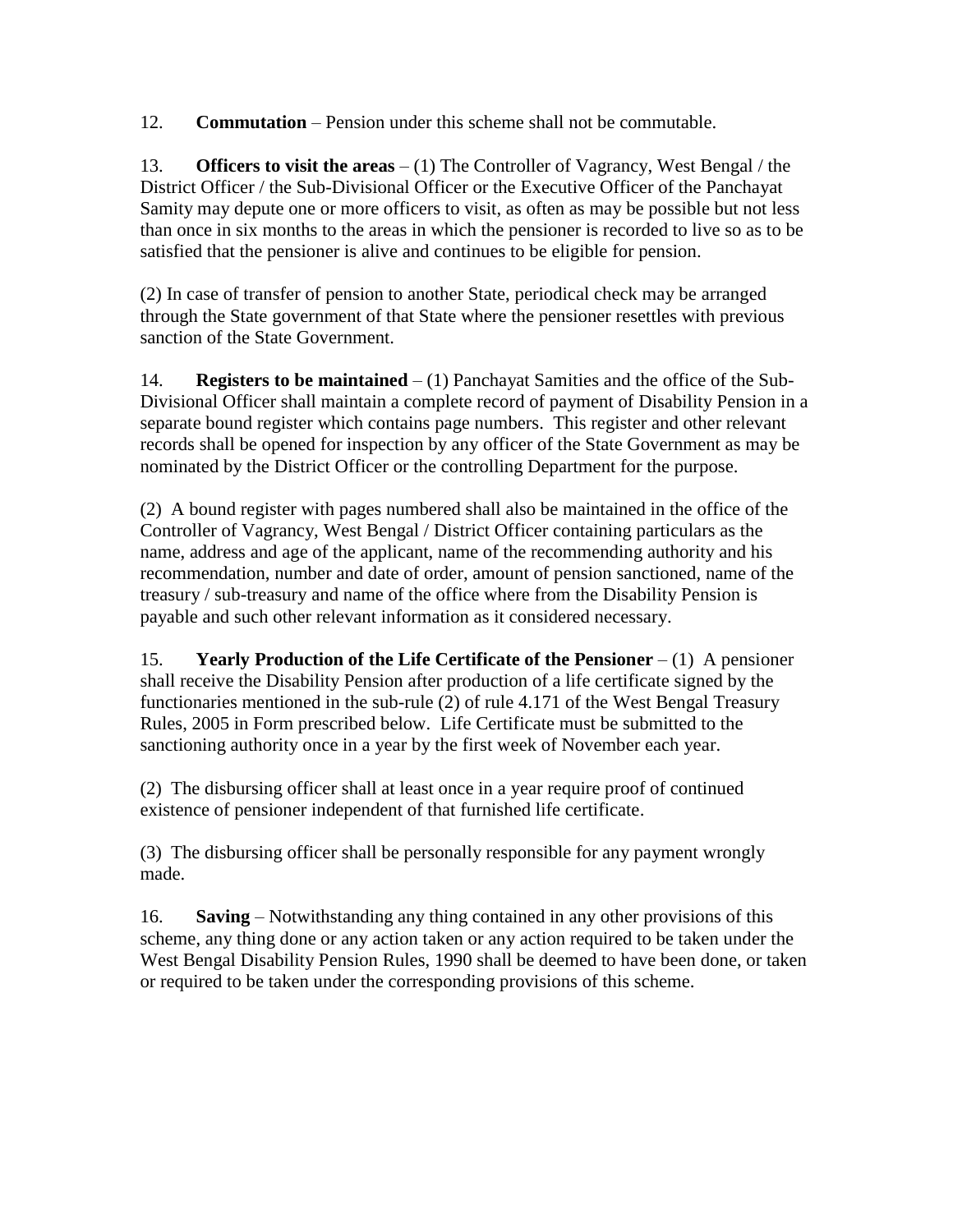12. **Commutation** – Pension under this scheme shall not be commutable.

13. **Officers to visit the areas** – (1) The Controller of Vagrancy, West Bengal / the District Officer / the Sub-Divisional Officer or the Executive Officer of the Panchayat Samity may depute one or more officers to visit, as often as may be possible but not less than once in six months to the areas in which the pensioner is recorded to live so as to be satisfied that the pensioner is alive and continues to be eligible for pension.

(2) In case of transfer of pension to another State, periodical check may be arranged through the State government of that State where the pensioner resettles with previous sanction of the State Government.

14. **Registers to be maintained** – (1) Panchayat Samities and the office of the Sub-Divisional Officer shall maintain a complete record of payment of Disability Pension in a separate bound register which contains page numbers. This register and other relevant records shall be opened for inspection by any officer of the State Government as may be nominated by the District Officer or the controlling Department for the purpose.

(2) A bound register with pages numbered shall also be maintained in the office of the Controller of Vagrancy, West Bengal / District Officer containing particulars as the name, address and age of the applicant, name of the recommending authority and his recommendation, number and date of order, amount of pension sanctioned, name of the treasury / sub-treasury and name of the office where from the Disability Pension is payable and such other relevant information as it considered necessary.

15. **Yearly Production of the Life Certificate of the Pensioner** – (1) A pensioner shall receive the Disability Pension after production of a life certificate signed by the functionaries mentioned in the sub-rule (2) of rule 4.171 of the West Bengal Treasury Rules, 2005 in Form prescribed below. Life Certificate must be submitted to the sanctioning authority once in a year by the first week of November each year.

(2) The disbursing officer shall at least once in a year require proof of continued existence of pensioner independent of that furnished life certificate.

(3) The disbursing officer shall be personally responsible for any payment wrongly made.

16. **Saving** – Notwithstanding any thing contained in any other provisions of this scheme, any thing done or any action taken or any action required to be taken under the West Bengal Disability Pension Rules, 1990 shall be deemed to have been done, or taken or required to be taken under the corresponding provisions of this scheme.